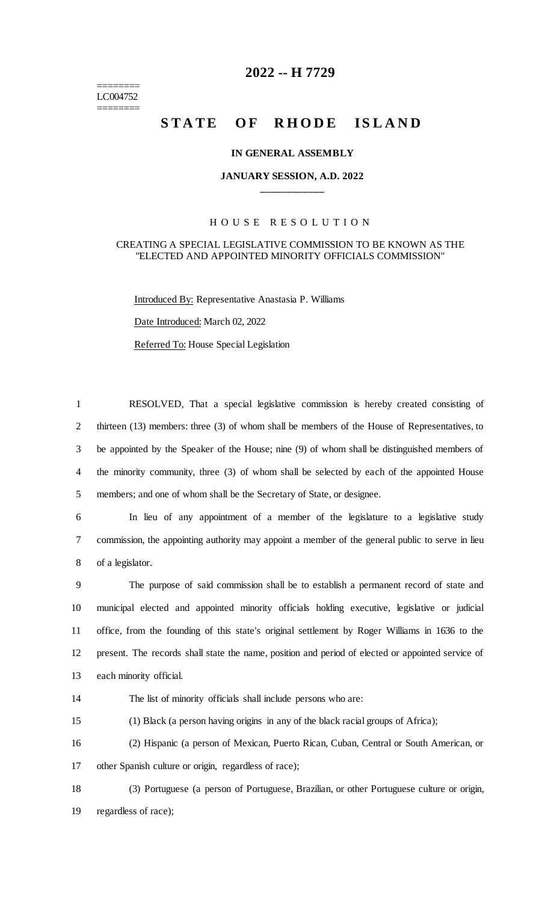======== LC004752 ========

# **2022 -- H 7729**

# **STATE OF RHODE ISLAND**

#### **IN GENERAL ASSEMBLY**

### **JANUARY SESSION, A.D. 2022 \_\_\_\_\_\_\_\_\_\_\_\_**

## H O U S E R E S O L U T I O N

# CREATING A SPECIAL LEGISLATIVE COMMISSION TO BE KNOWN AS THE "ELECTED AND APPOINTED MINORITY OFFICIALS COMMISSION"

Introduced By: Representative Anastasia P. Williams Date Introduced: March 02, 2022 Referred To: House Special Legislation

 RESOLVED, That a special legislative commission is hereby created consisting of 2 thirteen (13) members: three (3) of whom shall be members of the House of Representatives, to be appointed by the Speaker of the House; nine (9) of whom shall be distinguished members of the minority community, three (3) of whom shall be selected by each of the appointed House members; and one of whom shall be the Secretary of State, or designee.

6 In lieu of any appointment of a member of the legislature to a legislative study 7 commission, the appointing authority may appoint a member of the general public to serve in lieu 8 of a legislator.

 The purpose of said commission shall be to establish a permanent record of state and municipal elected and appointed minority officials holding executive, legislative or judicial office, from the founding of this state's original settlement by Roger Williams in 1636 to the present. The records shall state the name, position and period of elected or appointed service of each minority official.

14 The list of minority officials shall include persons who are:

15 (1) Black (a person having origins in any of the black racial groups of Africa);

16 (2) Hispanic (a person of Mexican, Puerto Rican, Cuban, Central or South American, or 17 other Spanish culture or origin, regardless of race);

18 (3) Portuguese (a person of Portuguese, Brazilian, or other Portuguese culture or origin, 19 regardless of race);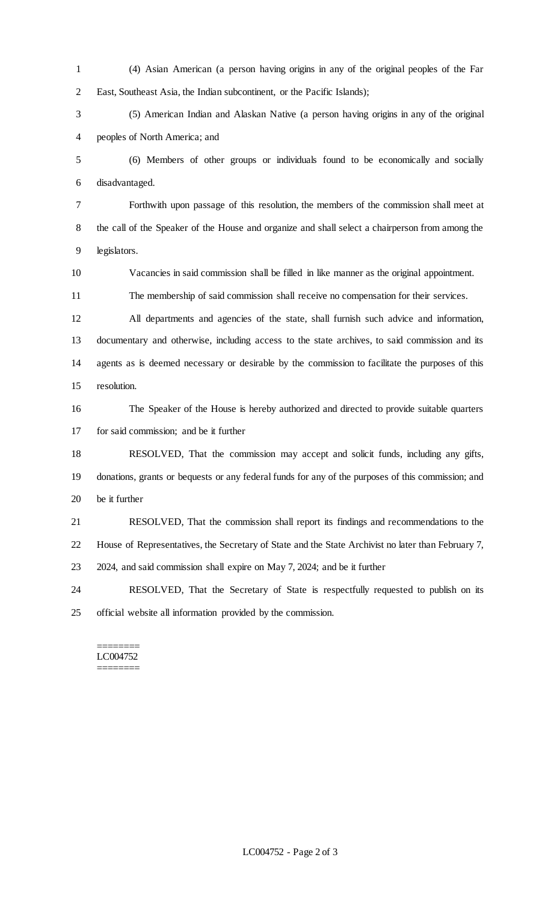(4) Asian American (a person having origins in any of the original peoples of the Far East, Southeast Asia, the Indian subcontinent, or the Pacific Islands);

 (5) American Indian and Alaskan Native (a person having origins in any of the original peoples of North America; and

 (6) Members of other groups or individuals found to be economically and socially disadvantaged.

 Forthwith upon passage of this resolution, the members of the commission shall meet at the call of the Speaker of the House and organize and shall select a chairperson from among the legislators.

Vacancies in said commission shall be filled in like manner as the original appointment.

The membership of said commission shall receive no compensation for their services.

 All departments and agencies of the state, shall furnish such advice and information, documentary and otherwise, including access to the state archives, to said commission and its agents as is deemed necessary or desirable by the commission to facilitate the purposes of this resolution.

 The Speaker of the House is hereby authorized and directed to provide suitable quarters for said commission; and be it further

 RESOLVED, That the commission may accept and solicit funds, including any gifts, donations, grants or bequests or any federal funds for any of the purposes of this commission; and be it further

 RESOLVED, That the commission shall report its findings and recommendations to the House of Representatives, the Secretary of State and the State Archivist no later than February 7, 2024, and said commission shall expire on May 7, 2024; and be it further

 RESOLVED, That the Secretary of State is respectfully requested to publish on its official website all information provided by the commission.

======== LC004752 ========